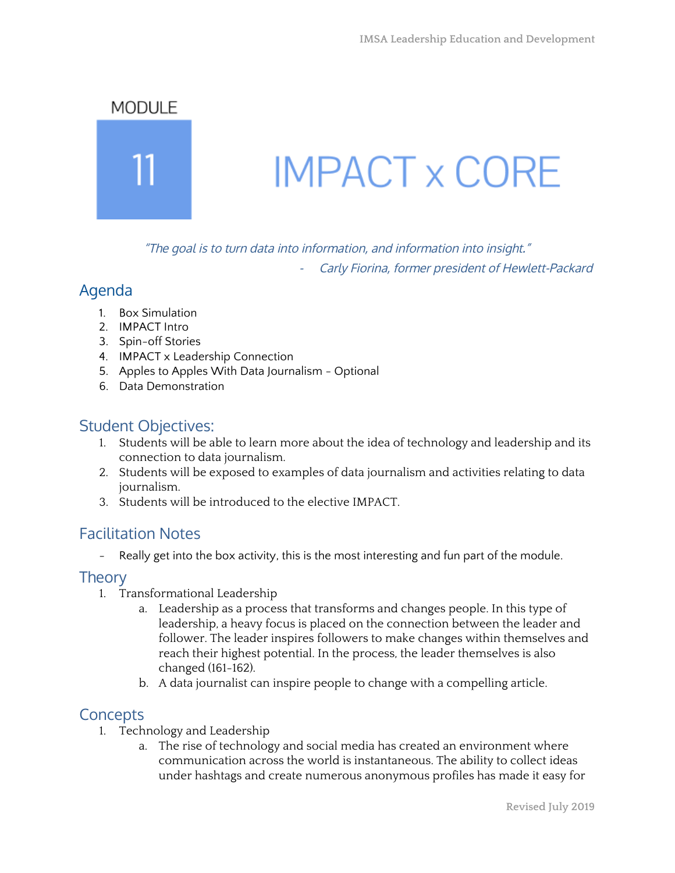## MODULE



# **IMPACT x CORE**

"The goal is to turn data into information, and information into insight."

Carly Fiorina, former president of Hewlett-Packard

# Agenda

- 1. Box Simulation
- 2. IMPACT Intro
- 3. Spin-off Stories
- 4. IMPACT x Leadership Connection
- 5. Apples to Apples With Data Journalism Optional
- 6. Data Demonstration

# Student Objectives:

- 1. Students will be able to learn more about the idea of technology and leadership and its connection to data journalism.
- 2. Students will be exposed to examples of data journalism and activities relating to data journalism.
- 3. Students will be introduced to the elective IMPACT.

# Facilitation Notes

Really get into the box activity, this is the most interesting and fun part of the module.

## **Theory**

- 1. Transformational Leadership
	- a. Leadership as a process that transforms and changes people. In this type of leadership, a heavy focus is placed on the connection between the leader and follower. The leader inspires followers to make changes within themselves and reach their highest potential. In the process, the leader themselves is also changed (161-162).
	- b. A data journalist can inspire people to change with a compelling article.

# **Concepts**

- 1. Technology and Leadership
	- a. The rise of technology and social media has created an environment where communication across the world is instantaneous. The ability to collect ideas under hashtags and create numerous anonymous profiles has made it easy for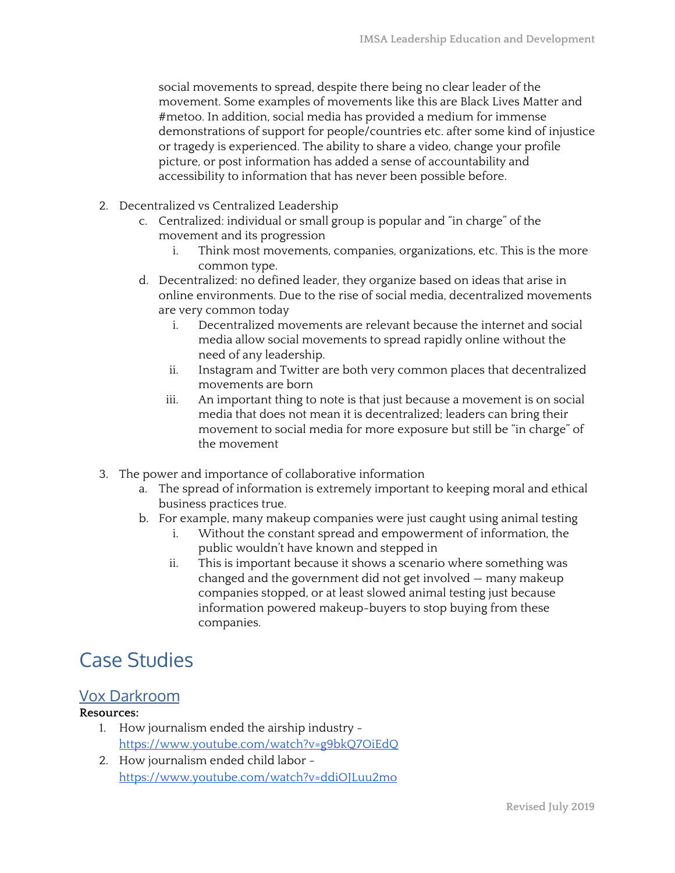social movements to spread, despite there being no clear leader of the movement. Some examples of movements like this are Black Lives Matter and #metoo. In addition, social media has provided a medium for immense demonstrations of support for people/countries etc. after some kind of injustice or tragedy is experienced. The ability to share a video, change your profile picture, or post information has added a sense of accountability and accessibility to information that has never been possible before.

- 2. Decentralized vs Centralized Leadership
	- c. Centralized: individual or small group is popular and "in charge" of the movement and its progression
		- i. Think most movements, companies, organizations, etc. This is the more common type.
	- d. Decentralized: no defined leader, they organize based on ideas that arise in online environments. Due to the rise of social media, decentralized movements are very common today
		- i. Decentralized movements are relevant because the internet and social media allow social movements to spread rapidly online without the need of any leadership.
		- ii. Instagram and Twitter are both very common places that decentralized movements are born
		- iii. An important thing to note is that just because a movement is on social media that does not mean it is decentralized; leaders can bring their movement to social media for more exposure but still be "in charge" of the movement
- 3. The power and importance of collaborative information
	- a. The spread of information is extremely important to keeping moral and ethical business practices true.
	- b. For example, many makeup companies were just caught using animal testing
		- i. Without the constant spread and empowerment of information, the public wouldn't have known and stepped in
		- ii. This is important because it shows a scenario where something was changed and the government did not get involved — many makeup companies stopped, or at least slowed animal testing just because information powered makeup-buyers to stop buying from these companies.

# Case Studies

## Vox Darkroom

#### **Resources:**

- 1. How journalism ended the airship industry <https://www.youtube.com/watch?v=g9bkQ7OiEdQ>
- 2. How journalism ended child labor <https://www.youtube.com/watch?v=ddiOJLuu2mo>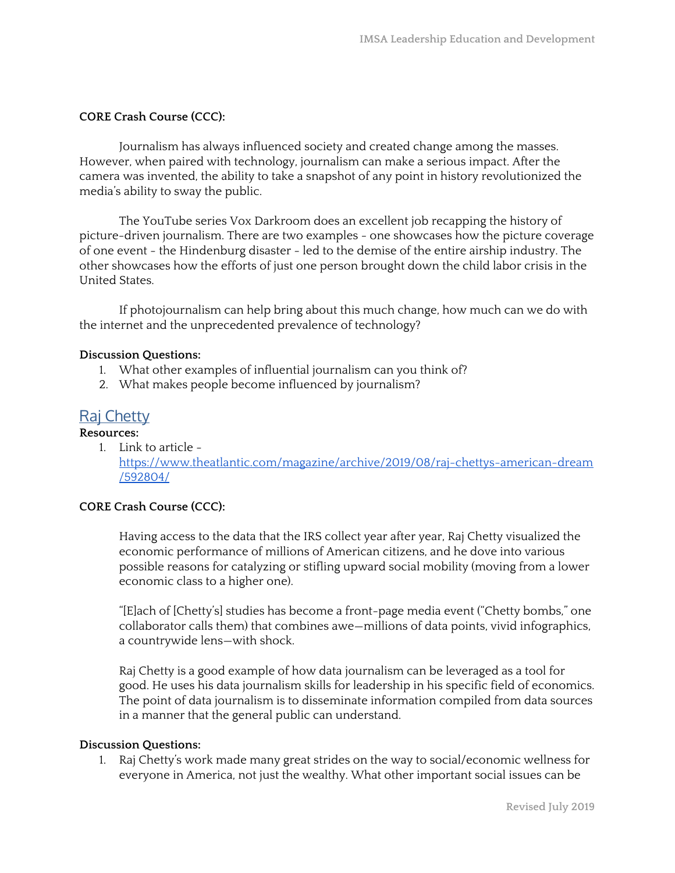#### **CORE Crash Course (CCC):**

Journalism has always influenced society and created change among the masses. However, when paired with technology, journalism can make a serious impact. After the camera was invented, the ability to take a snapshot of any point in history revolutionized the media's ability to sway the public.

The YouTube series Vox Darkroom does an excellent job recapping the history of picture-driven journalism. There are two examples - one showcases how the picture coverage of one event - the Hindenburg disaster - led to the demise of the entire airship industry. The other showcases how the efforts of just one person brought down the child labor crisis in the United States.

If photojournalism can help bring about this much change, how much can we do with the internet and the unprecedented prevalence of technology?

#### **Discussion Questions:**

- 1. What other examples of influential journalism can you think of?
- 2. What makes people become influenced by journalism?

# **Raj Chetty**

**Resources:**

1. Link to article [https://www.theatlantic.com/magazine/archive/2019/08/raj-chettys-american-dream](https://www.theatlantic.com/magazine/archive/2019/08/raj-chettys-american-dream/592804/) [/592804/](https://www.theatlantic.com/magazine/archive/2019/08/raj-chettys-american-dream/592804/)

#### **CORE Crash Course (CCC):**

Having access to the data that the IRS collect year after year, Raj Chetty visualized the economic performance of millions of American citizens, and he dove into various possible reasons for catalyzing or stifling upward social mobility (moving from a lower economic class to a higher one).

"[E]ach of [Chetty's] studies has become a front-page media event ("Chetty bombs," one collaborator calls them) that combines awe—millions of data points, vivid infographics, a countrywide lens—with shock.

Raj Chetty is a good example of how data journalism can be leveraged as a tool for good. He uses his data journalism skills for leadership in his specific field of economics. The point of data journalism is to disseminate information compiled from data sources in a manner that the general public can understand.

#### **Discussion Questions:**

1. Raj Chetty's work made many great strides on the way to social/economic wellness for everyone in America, not just the wealthy. What other important social issues can be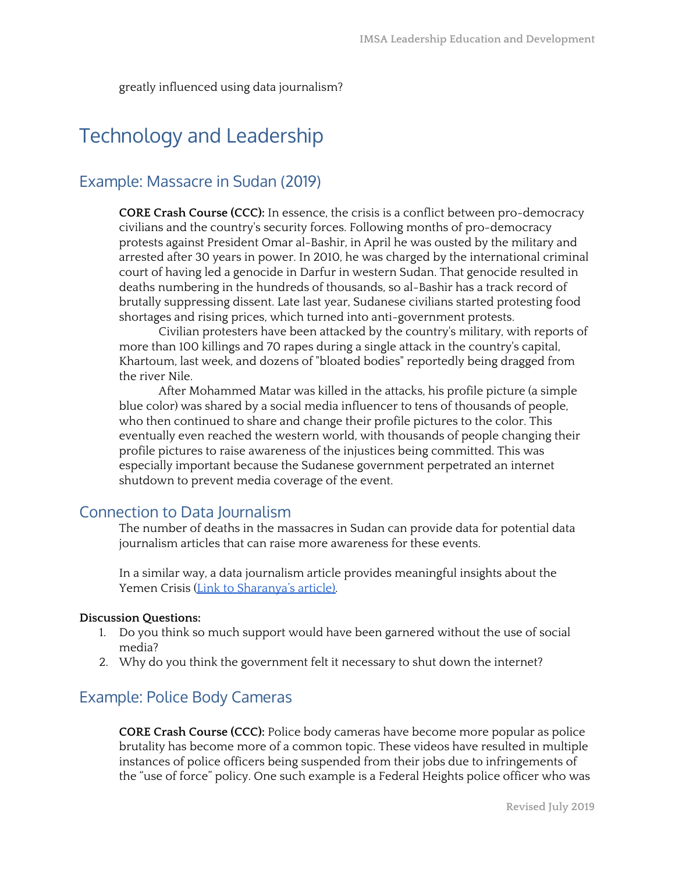greatly influenced using data journalism?

# Technology and Leadership

# Example: Massacre in Sudan (2019)

**CORE Crash Course (CCC):** In essence, the crisis is a conflict between pro-democracy civilians and the country's security forces. Following months of pro-democracy protests against President Omar al-Bashir, in April he was ousted by the military and arrested after 30 years in power. In 2010, he was charged by the international criminal court of having led a genocide in Darfur in western Sudan. That genocide resulted in deaths numbering in the hundreds of thousands, so al-Bashir has a track record of brutally suppressing dissent. Late last year, Sudanese civilians started protesting food shortages and rising prices, which turned into anti-government protests.

Civilian protesters have been attacked by the country's military, with reports of more than 100 killings and 70 rapes during a single attack in the country's capital, Khartoum, last week, and dozens of "bloated bodies" reportedly being dragged from the river Nile.

After Mohammed Matar was killed in the attacks, his profile picture (a simple blue color) was shared by a social media influencer to tens of thousands of people, who then continued to share and change their profile pictures to the color. This eventually even reached the western world, with thousands of people changing their profile pictures to raise awareness of the injustices being committed. This was especially important because the Sudanese government perpetrated an internet shutdown to prevent media coverage of the event.

#### Connection to Data Journalism

The number of deaths in the massacres in Sudan can provide data for potential data journalism articles that can raise more awareness for these events.

In a similar way, a data journalism article provides meaningful insights about the Yemen Crisis (Link to [Sharanya's](https://schoudhury2.wixsite.com/mysite) article).

#### **Discussion Questions:**

- 1. Do you think so much support would have been garnered without the use of social media?
- 2. Why do you think the government felt it necessary to shut down the internet?

#### Example: Police Body Cameras

**CORE Crash Course (CCC):** Police body cameras have become more popular as police brutality has become more of a common topic. These videos have resulted in multiple instances of police officers being suspended from their jobs due to infringements of the "use of force" policy. One such example is a Federal Heights police officer who was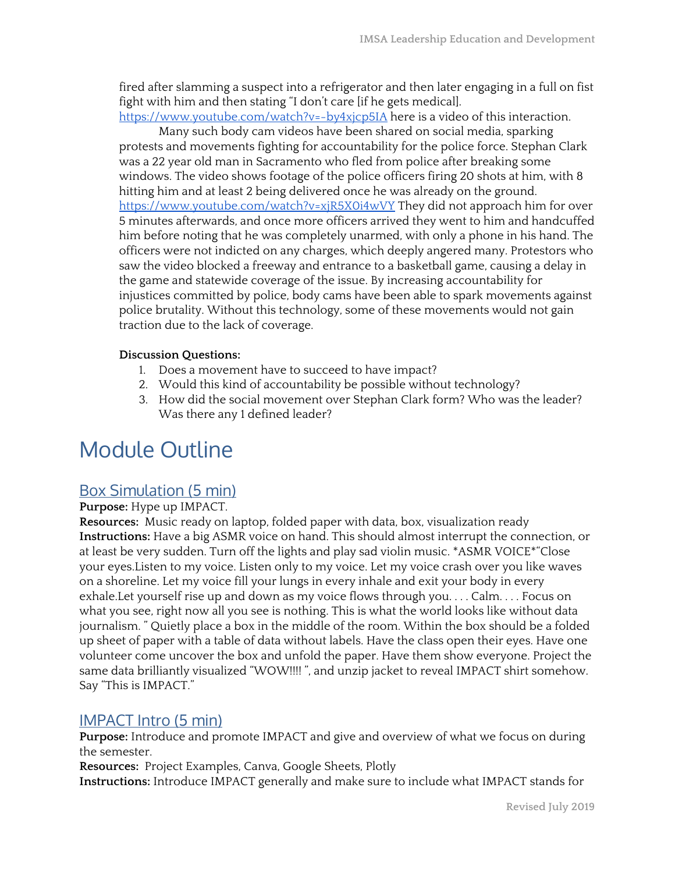fired after slamming a suspect into a refrigerator and then later engaging in a full on fist fight with him and then stating "I don't care [if he gets medical].

<https://www.youtube.com/watch?v=-by4xjcp5IA> here is a video of this interaction.

Many such body cam videos have been shared on social media, sparking protests and movements fighting for accountability for the police force. Stephan Clark was a 22 year old man in Sacramento who fled from police after breaking some windows. The video shows footage of the police officers firing 20 shots at him, with 8 hitting him and at least 2 being delivered once he was already on the ground. <https://www.youtube.com/watch?v=xjR5X0i4wVY> They did not approach him for over 5 minutes afterwards, and once more officers arrived they went to him and handcuffed him before noting that he was completely unarmed, with only a phone in his hand. The officers were not indicted on any charges, which deeply angered many. Protestors who saw the video blocked a freeway and entrance to a basketball game, causing a delay in the game and statewide coverage of the issue. By increasing accountability for injustices committed by police, body cams have been able to spark movements against police brutality. Without this technology, some of these movements would not gain traction due to the lack of coverage.

#### **Discussion Questions:**

- 1. Does a movement have to succeed to have impact?
- 2. Would this kind of accountability be possible without technology?
- 3. How did the social movement over Stephan Clark form? Who was the leader? Was there any 1 defined leader?

# Module Outline

## Box Simulation (5 min)

#### **Purpose:** Hype up IMPACT.

**Resources:** Music ready on laptop, folded paper with data, box, visualization ready **Instructions:** Have a big ASMR voice on hand. This should almost interrupt the connection, or at least be very sudden. Turn off the lights and play sad violin music. \*ASMR VOICE\*"Close your eyes.Listen to my voice. Listen only to my voice. Let my voice crash over you like waves on a shoreline. Let my voice fill your lungs in every inhale and exit your body in every exhale.Let yourself rise up and down as my voice flows through you. . . . Calm. . . . Focus on what you see, right now all you see is nothing. This is what the world looks like without data journalism. " Quietly place a box in the middle of the room. Within the box should be a folded up sheet of paper with a table of data without labels. Have the class open their eyes. Have one volunteer come uncover the box and unfold the paper. Have them show everyone. Project the same data brilliantly visualized "WOW!!!! ", and unzip jacket to reveal IMPACT shirt somehow. Say "This is IMPACT."

## IMPACT Intro (5 min)

**Purpose:** Introduce and promote IMPACT and give and overview of what we focus on during the semester.

**Resources:** Project Examples, Canva, Google Sheets, Plotly **Instructions:** Introduce IMPACT generally and make sure to include what IMPACT stands for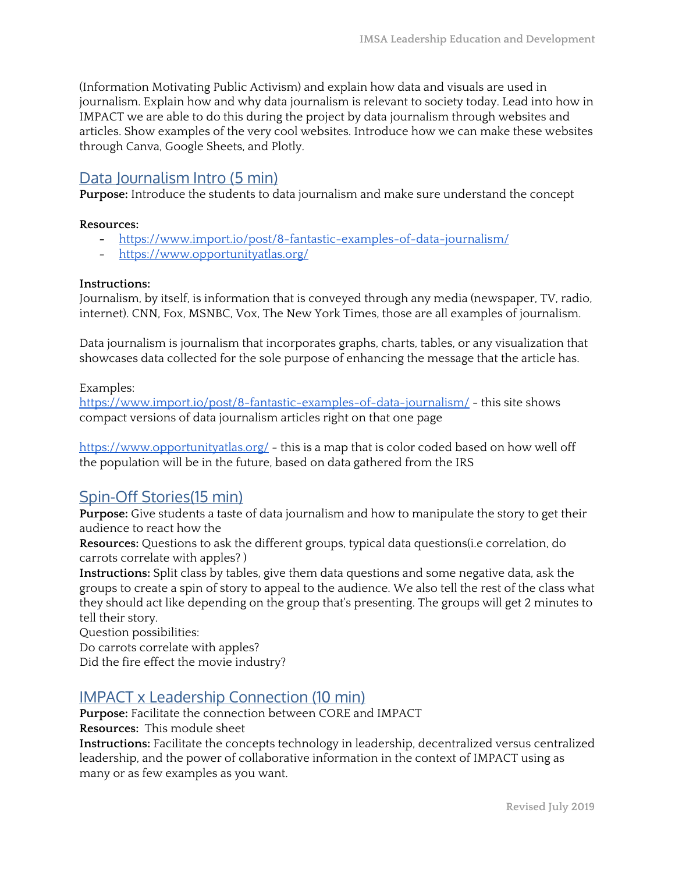(Information Motivating Public Activism) and explain how data and visuals are used in journalism. Explain how and why data journalism is relevant to society today. Lead into how in IMPACT we are able to do this during the project by data journalism through websites and articles. Show examples of the very cool websites. Introduce how we can make these websites through Canva, Google Sheets, and Plotly.

#### Data Journalism Intro (5 min)

**Purpose:** Introduce the students to data journalism and make sure understand the concept

#### **Resources:**

- **-** <https://www.import.io/post/8-fantastic-examples-of-data-journalism/>
- <https://www.opportunityatlas.org/>

#### **Instructions:**

Journalism, by itself, is information that is conveyed through any media (newspaper, TV, radio, internet). CNN, Fox, MSNBC, Vox, The New York Times, those are all examples of journalism.

Data journalism is journalism that incorporates graphs, charts, tables, or any visualization that showcases data collected for the sole purpose of enhancing the message that the article has.

#### Examples:

<https://www.import.io/post/8-fantastic-examples-of-data-journalism/> - this site shows compact versions of data journalism articles right on that one page

<https://www.opportunityatlas.org/> - this is a map that is color coded based on how well off the population will be in the future, based on data gathered from the IRS

#### Spin-Off Stories(15 min)

**Purpose:** Give students a taste of data journalism and how to manipulate the story to get their audience to react how the

**Resources:** Questions to ask the different groups, typical data questions(i.e correlation, do carrots correlate with apples? )

**Instructions:** Split class by tables, give them data questions and some negative data, ask the groups to create a spin of story to appeal to the audience. We also tell the rest of the class what they should act like depending on the group that's presenting. The groups will get 2 minutes to tell their story.

Question possibilities:

Do carrots correlate with apples?

Did the fire effect the movie industry?

#### IMPACT x Leadership Connection (10 min)

**Purpose:** Facilitate the connection between CORE and IMPACT

**Resources:** This module sheet

**Instructions:** Facilitate the concepts technology in leadership, decentralized versus centralized leadership, and the power of collaborative information in the context of IMPACT using as many or as few examples as you want.